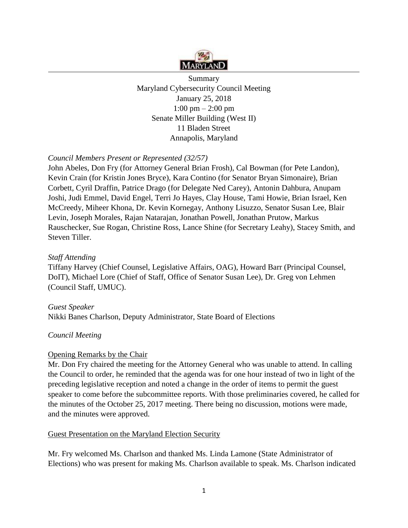

Summary Maryland Cybersecurity Council Meeting January 25, 2018 1:00 pm – 2:00 pm Senate Miller Building (West II) 11 Bladen Street Annapolis, Maryland

# *Council Members Present or Represented (32/57)*

John Abeles, Don Fry (for Attorney General Brian Frosh), Cal Bowman (for Pete Landon), Kevin Crain (for Kristin Jones Bryce), Kara Contino (for Senator Bryan Simonaire), Brian Corbett, Cyril Draffin, Patrice Drago (for Delegate Ned Carey), Antonin Dahbura, Anupam Joshi, Judi Emmel, David Engel, Terri Jo Hayes, Clay House, Tami Howie, Brian Israel, Ken McCreedy, Miheer Khona, Dr. Kevin Kornegay, Anthony Lisuzzo, Senator Susan Lee, Blair Levin, Joseph Morales, Rajan Natarajan, Jonathan Powell, Jonathan Prutow, Markus Rauschecker, Sue Rogan, Christine Ross, Lance Shine (for Secretary Leahy), Stacey Smith, and Steven Tiller.

## *Staff Attending*

Tiffany Harvey (Chief Counsel, Legislative Affairs, OAG), Howard Barr (Principal Counsel, DoIT), Michael Lore (Chief of Staff, Office of Senator Susan Lee), Dr. Greg von Lehmen (Council Staff, UMUC).

### *Guest Speaker*

Nikki Banes Charlson, Deputy Administrator, State Board of Elections

### *Council Meeting*

### Opening Remarks by the Chair

Mr. Don Fry chaired the meeting for the Attorney General who was unable to attend. In calling the Council to order, he reminded that the agenda was for one hour instead of two in light of the preceding legislative reception and noted a change in the order of items to permit the guest speaker to come before the subcommittee reports. With those preliminaries covered, he called for the minutes of the October 25, 2017 meeting. There being no discussion, motions were made, and the minutes were approved.

### Guest Presentation on the Maryland Election Security

Mr. Fry welcomed Ms. Charlson and thanked Ms. Linda Lamone (State Administrator of Elections) who was present for making Ms. Charlson available to speak. Ms. Charlson indicated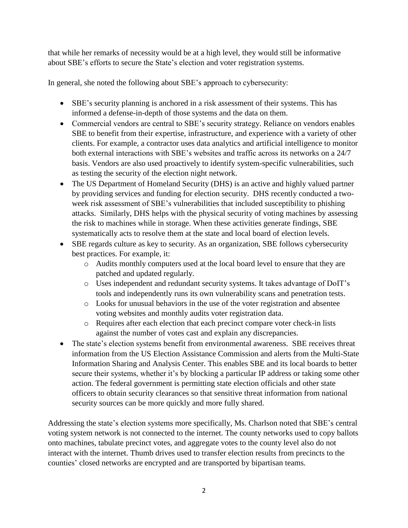that while her remarks of necessity would be at a high level, they would still be informative about SBE's efforts to secure the State's election and voter registration systems.

In general, she noted the following about SBE's approach to cybersecurity:

- SBE's security planning is anchored in a risk assessment of their systems. This has informed a defense-in-depth of those systems and the data on them.
- Commercial vendors are central to SBE's security strategy. Reliance on vendors enables SBE to benefit from their expertise, infrastructure, and experience with a variety of other clients. For example, a contractor uses data analytics and artificial intelligence to monitor both external interactions with SBE's websites and traffic across its networks on a 24/7 basis. Vendors are also used proactively to identify system-specific vulnerabilities, such as testing the security of the election night network.
- The US Department of Homeland Security (DHS) is an active and highly valued partner by providing services and funding for election security. DHS recently conducted a twoweek risk assessment of SBE's vulnerabilities that included susceptibility to phishing attacks. Similarly, DHS helps with the physical security of voting machines by assessing the risk to machines while in storage. When these activities generate findings, SBE systematically acts to resolve them at the state and local board of election levels.
- SBE regards culture as key to security. As an organization, SBE follows cybersecurity best practices. For example, it:
	- o Audits monthly computers used at the local board level to ensure that they are patched and updated regularly.
	- o Uses independent and redundant security systems. It takes advantage of DoIT's tools and independently runs its own vulnerability scans and penetration tests.
	- o Looks for unusual behaviors in the use of the voter registration and absentee voting websites and monthly audits voter registration data.
	- o Requires after each election that each precinct compare voter check-in lists against the number of votes cast and explain any discrepancies.
- The state's election systems benefit from environmental awareness. SBE receives threat information from the US Election Assistance Commission and alerts from the Multi-State Information Sharing and Analysis Center. This enables SBE and its local boards to better secure their systems, whether it's by blocking a particular IP address or taking some other action. The federal government is permitting state election officials and other state officers to obtain security clearances so that sensitive threat information from national security sources can be more quickly and more fully shared.

Addressing the state's election systems more specifically, Ms. Charlson noted that SBE's central voting system network is not connected to the internet. The county networks used to copy ballots onto machines, tabulate precinct votes, and aggregate votes to the county level also do not interact with the internet. Thumb drives used to transfer election results from precincts to the counties' closed networks are encrypted and are transported by bipartisan teams.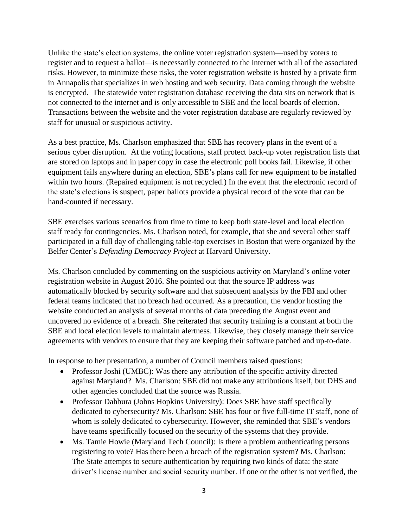Unlike the state's election systems, the online voter registration system—used by voters to register and to request a ballot—is necessarily connected to the internet with all of the associated risks. However, to minimize these risks, the voter registration website is hosted by a private firm in Annapolis that specializes in web hosting and web security. Data coming through the website is encrypted. The statewide voter registration database receiving the data sits on network that is not connected to the internet and is only accessible to SBE and the local boards of election. Transactions between the website and the voter registration database are regularly reviewed by staff for unusual or suspicious activity.

As a best practice, Ms. Charlson emphasized that SBE has recovery plans in the event of a serious cyber disruption. At the voting locations, staff protect back-up voter registration lists that are stored on laptops and in paper copy in case the electronic poll books fail. Likewise, if other equipment fails anywhere during an election, SBE's plans call for new equipment to be installed within two hours. (Repaired equipment is not recycled.) In the event that the electronic record of the state's elections is suspect, paper ballots provide a physical record of the vote that can be hand-counted if necessary.

SBE exercises various scenarios from time to time to keep both state-level and local election staff ready for contingencies. Ms. Charlson noted, for example, that she and several other staff participated in a full day of challenging table-top exercises in Boston that were organized by the Belfer Center's *Defending Democracy Project* at Harvard University.

Ms. Charlson concluded by commenting on the suspicious activity on Maryland's online voter registration website in August 2016. She pointed out that the source IP address was automatically blocked by security software and that subsequent analysis by the FBI and other federal teams indicated that no breach had occurred. As a precaution, the vendor hosting the website conducted an analysis of several months of data preceding the August event and uncovered no evidence of a breach. She reiterated that security training is a constant at both the SBE and local election levels to maintain alertness. Likewise, they closely manage their service agreements with vendors to ensure that they are keeping their software patched and up-to-date.

In response to her presentation, a number of Council members raised questions:

- Professor Joshi (UMBC): Was there any attribution of the specific activity directed against Maryland? Ms. Charlson: SBE did not make any attributions itself, but DHS and other agencies concluded that the source was Russia.
- Professor Dahbura (Johns Hopkins University): Does SBE have staff specifically dedicated to cybersecurity? Ms. Charlson: SBE has four or five full-time IT staff, none of whom is solely dedicated to cybersecurity. However, she reminded that SBE's vendors have teams specifically focused on the security of the systems that they provide.
- Ms. Tamie Howie (Maryland Tech Council): Is there a problem authenticating persons registering to vote? Has there been a breach of the registration system? Ms. Charlson: The State attempts to secure authentication by requiring two kinds of data: the state driver's license number and social security number. If one or the other is not verified, the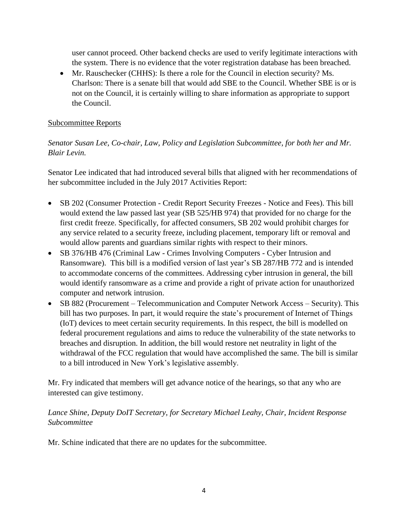user cannot proceed. Other backend checks are used to verify legitimate interactions with the system. There is no evidence that the voter registration database has been breached.

• Mr. Rauschecker (CHHS): Is there a role for the Council in election security? Ms. Charlson: There is a senate bill that would add SBE to the Council. Whether SBE is or is not on the Council, it is certainly willing to share information as appropriate to support the Council.

## Subcommittee Reports

# *Senator Susan Lee, Co-chair, Law, Policy and Legislation Subcommittee, for both her and Mr. Blair Levin.*

Senator Lee indicated that had introduced several bills that aligned with her recommendations of her subcommittee included in the July 2017 Activities Report:

- SB 202 (Consumer Protection Credit Report Security Freezes Notice and Fees). This bill would extend the law passed last year (SB 525/HB 974) that provided for no charge for the first credit freeze. Specifically, for affected consumers, SB 202 would prohibit charges for any service related to a security freeze, including placement, temporary lift or removal and would allow parents and guardians similar rights with respect to their minors.
- SB 376/HB 476 (Criminal Law Crimes Involving Computers Cyber Intrusion and Ransomware). This bill is a modified version of last year's SB 287/HB 772 and is intended to accommodate concerns of the committees. Addressing cyber intrusion in general, the bill would identify ransomware as a crime and provide a right of private action for unauthorized computer and network intrusion.
- SB 882 (Procurement Telecommunication and Computer Network Access Security). This bill has two purposes. In part, it would require the state's procurement of Internet of Things (IoT) devices to meet certain security requirements. In this respect, the bill is modelled on federal procurement regulations and aims to reduce the vulnerability of the state networks to breaches and disruption. In addition, the bill would restore net neutrality in light of the withdrawal of the FCC regulation that would have accomplished the same. The bill is similar to a bill introduced in New York's legislative assembly.

Mr. Fry indicated that members will get advance notice of the hearings, so that any who are interested can give testimony.

# *Lance Shine, Deputy DoIT Secretary, for Secretary Michael Leahy, Chair, Incident Response Subcommittee*

Mr. Schine indicated that there are no updates for the subcommittee.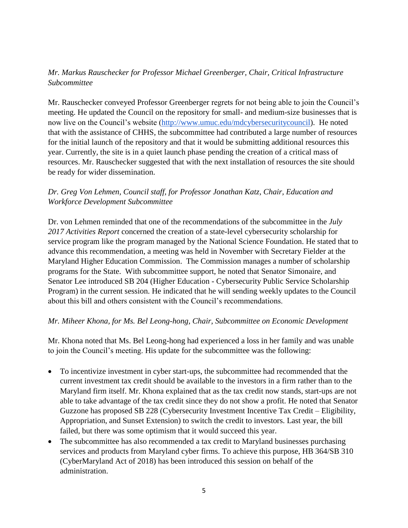# *Mr. Markus Rauschecker for Professor Michael Greenberger, Chair, Critical Infrastructure Subcommittee*

Mr. Rauschecker conveyed Professor Greenberger regrets for not being able to join the Council's meeting. He updated the Council on the repository for small- and medium-size businesses that is now live on the Council's website [\(http://www.umuc.edu/mdcybersecuritycouncil\)](http://www.umuc.edu/mdcybersecuritycouncil). He noted that with the assistance of CHHS, the subcommittee had contributed a large number of resources for the initial launch of the repository and that it would be submitting additional resources this year. Currently, the site is in a quiet launch phase pending the creation of a critical mass of resources. Mr. Rauschecker suggested that with the next installation of resources the site should be ready for wider dissemination.

# *Dr. Greg Von Lehmen, Council staff, for Professor Jonathan Katz, Chair, Education and Workforce Development Subcommittee*

Dr. von Lehmen reminded that one of the recommendations of the subcommittee in the *July 2017 Activities Report* concerned the creation of a state-level cybersecurity scholarship for service program like the program managed by the National Science Foundation. He stated that to advance this recommendation, a meeting was held in November with Secretary Fielder at the Maryland Higher Education Commission. The Commission manages a number of scholarship programs for the State. With subcommittee support, he noted that Senator Simonaire, and Senator Lee introduced SB 204 (Higher Education - Cybersecurity Public Service Scholarship Program) in the current session. He indicated that he will sending weekly updates to the Council about this bill and others consistent with the Council's recommendations.

## *Mr. Miheer Khona, for Ms. Bel Leong-hong, Chair, Subcommittee on Economic Development*

Mr. Khona noted that Ms. Bel Leong-hong had experienced a loss in her family and was unable to join the Council's meeting. His update for the subcommittee was the following:

- To incentivize investment in cyber start-ups, the subcommittee had recommended that the current investment tax credit should be available to the investors in a firm rather than to the Maryland firm itself. Mr. Khona explained that as the tax credit now stands, start-ups are not able to take advantage of the tax credit since they do not show a profit. He noted that Senator Guzzone has proposed SB 228 (Cybersecurity Investment Incentive Tax Credit – Eligibility, Appropriation, and Sunset Extension) to switch the credit to investors. Last year, the bill failed, but there was some optimism that it would succeed this year.
- The subcommittee has also recommended a tax credit to Maryland businesses purchasing services and products from Maryland cyber firms. To achieve this purpose, HB 364/SB 310 (CyberMaryland Act of 2018) has been introduced this session on behalf of the administration.